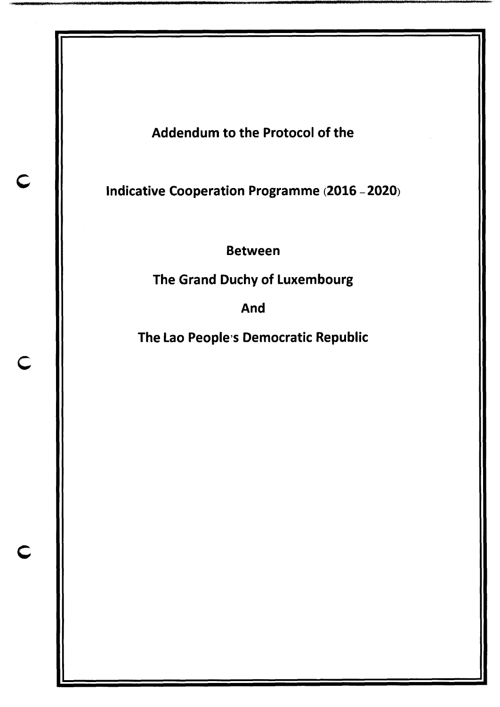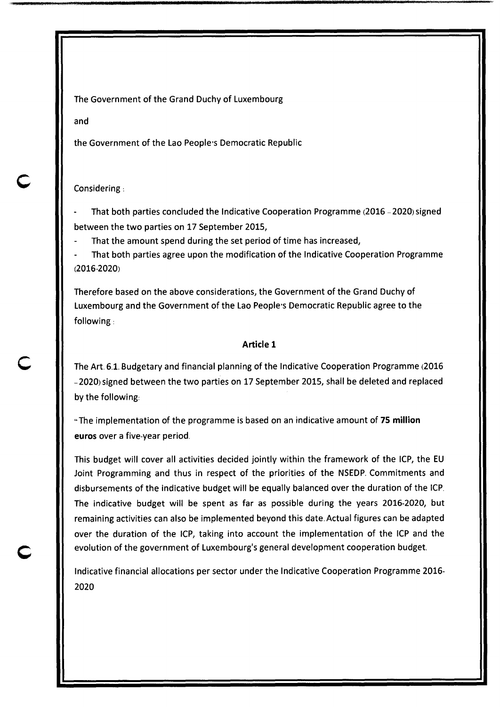The Government of the Grand Duchy of Luxembourg

and

the Government of the Lao People's Democratic Republic

## Considering :

- That both parties concluded the Indicative Cooperation Programme (2016 -2020) signed between the two parties on 17 September 2015,

That the amount spend during the set period of time has increased,

That both parties agree upon the modification of the Indicative Cooperation Programme (2016-2020)

Therefore based on the above considerations, the Government of the Grand Duchy of Luxembourg and the Government of the Lao People's Democratic Republic agree to the following .

## **Article 1**

The Art. 6.1. Budgetary and financial planning of the Indicative Cooperation Programme (2016 -2020) signed between the two parties on 17 September 2015, shall be deleted and replaced by the following:

-The implementation of the programme is based on an indicative amount of **75 million euros** over a five-year period.

This budget will cover all activities decided jointly within the framework of the ICP, the EU Joint Programming and thus in respect of the priorities of the NSEDP. Commitments and disbursements of the indicative budget will be equally balanced over the duration of the ICP. The indicative budget will be spent as far as possible during the years 2016-2020, but remaining activities can also be implemented beyond this date. Actual figures can be adapted over the duration of the ICP, taking into account the implementation of the ICP and the evolution of the government of Luxembourg's general development cooperation budget.

Indicative financial allocations per sector under the Indicative Cooperation Programme 2016- 2020